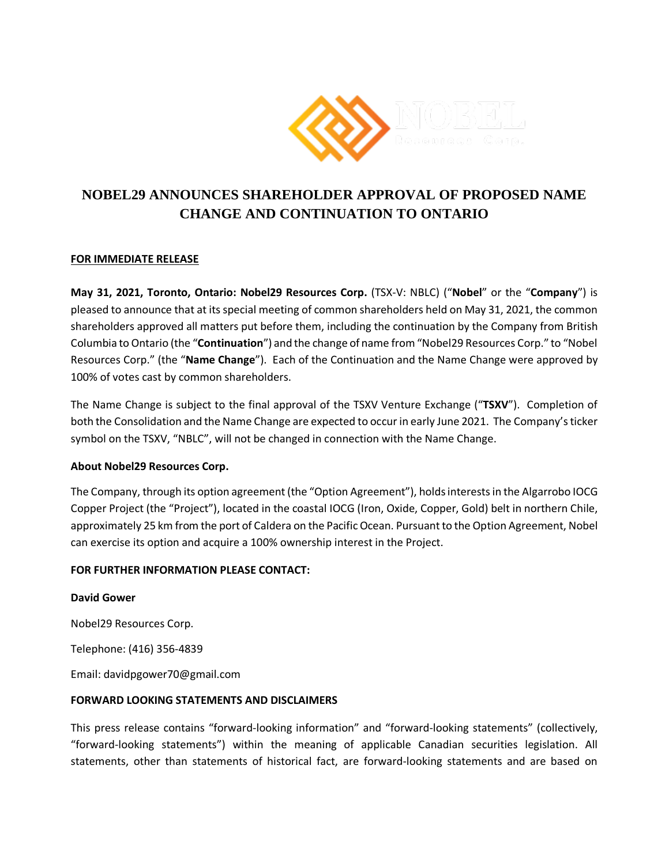

# **NOBEL29 ANNOUNCES SHAREHOLDER APPROVAL OF PROPOSED NAME CHANGE AND CONTINUATION TO ONTARIO**

## **FOR IMMEDIATE RELEASE**

**May 31, 2021, Toronto, Ontario: Nobel29 Resources Corp.** (TSX-V: NBLC) ("**Nobel**" or the "**Company**") is pleased to announce that at its special meeting of common shareholders held on May 31, 2021, the common shareholders approved all matters put before them, including the continuation by the Company from British Columbia to Ontario (the "**Continuation**") and the change of name from "Nobel29 Resources Corp." to "Nobel Resources Corp." (the "**Name Change**"). Each of the Continuation and the Name Change were approved by 100% of votes cast by common shareholders.

The Name Change is subject to the final approval of the TSXV Venture Exchange ("**TSXV**"). Completion of both the Consolidation and the Name Change are expected to occur in early June 2021. The Company's ticker symbol on the TSXV, "NBLC", will not be changed in connection with the Name Change.

### **About Nobel29 Resources Corp.**

The Company, through its option agreement (the "Option Agreement"), holds interests in the Algarrobo IOCG Copper Project (the "Project"), located in the coastal IOCG (Iron, Oxide, Copper, Gold) belt in northern Chile, approximately 25 km from the port of Caldera on the Pacific Ocean. Pursuant to the Option Agreement, Nobel can exercise its option and acquire a 100% ownership interest in the Project.

### **FOR FURTHER INFORMATION PLEASE CONTACT:**

### **David Gower**

Nobel29 Resources Corp.

Telephone: (416) 356-4839

Email: davidpgower70@gmail.com

### **FORWARD LOOKING STATEMENTS AND DISCLAIMERS**

This press release contains "forward-looking information" and "forward-looking statements" (collectively, "forward-looking statements") within the meaning of applicable Canadian securities legislation. All statements, other than statements of historical fact, are forward-looking statements and are based on